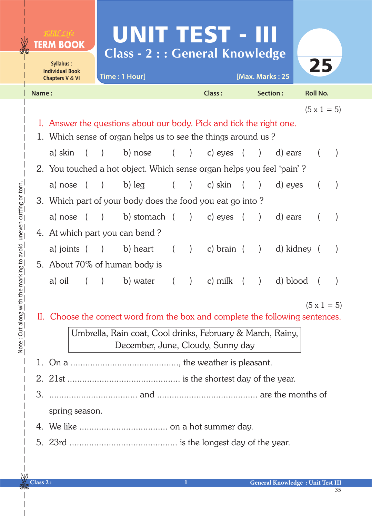|                                                                                                      | <b><i>TERM BOOK</i></b>                                               |                                        |                                               | UNIT TEST - III |          |                                                 |              |          |                                               |                 |  |                    |  |  |
|------------------------------------------------------------------------------------------------------|-----------------------------------------------------------------------|----------------------------------------|-----------------------------------------------|-----------------|----------|-------------------------------------------------|--------------|----------|-----------------------------------------------|-----------------|--|--------------------|--|--|
| Syllabus:                                                                                            |                                                                       | <b>Class - 2 : : General Knowledge</b> |                                               |                 |          | 25                                              |              |          |                                               |                 |  |                    |  |  |
| <b>Individual Book</b><br><b>Chapters V &amp; VI</b>                                                 |                                                                       | Time: 1 Hour]                          |                                               |                 |          | [Max. Marks: 25                                 |              |          |                                               |                 |  |                    |  |  |
| Name:                                                                                                |                                                                       |                                        |                                               |                 |          | <b>Class:</b>                                   |              | Section: |                                               | <b>Roll No.</b> |  |                    |  |  |
|                                                                                                      |                                                                       |                                        |                                               |                 |          |                                                 |              |          |                                               |                 |  | $(5 \times 1 = 5)$ |  |  |
|                                                                                                      | I. Answer the questions about our body. Pick and tick the right one.  |                                        |                                               |                 |          |                                                 |              |          |                                               |                 |  |                    |  |  |
|                                                                                                      | 1. Which sense of organ helps us to see the things around us?         |                                        |                                               |                 |          |                                                 |              |          |                                               |                 |  |                    |  |  |
|                                                                                                      | a) skin                                                               |                                        | $\rightarrow$                                 | b) nose         |          | $\left( \begin{array}{c} 1 \end{array} \right)$ | c) eyes (    |          | $\big)$                                       | d) ears         |  |                    |  |  |
|                                                                                                      | 2. You touched a hot object. Which sense organ helps you feel 'pain'? |                                        |                                               |                 |          |                                                 |              |          |                                               |                 |  |                    |  |  |
|                                                                                                      | a) nose (                                                             |                                        | $\left( \begin{array}{c} \end{array} \right)$ | b) leg          | $\left($ |                                                 | $(c)$ skin   |          |                                               | d) eyes         |  |                    |  |  |
|                                                                                                      | 3. Which part of your body does the food you eat go into?             |                                        |                                               |                 |          |                                                 |              |          |                                               |                 |  |                    |  |  |
|                                                                                                      | a) nose (                                                             |                                        |                                               | ) b) stomach (  |          | $\left( \begin{array}{c} 1 \end{array} \right)$ | c) eyes      |          |                                               | d) ears         |  |                    |  |  |
|                                                                                                      | 4. At which part you can bend?                                        |                                        |                                               |                 |          |                                                 |              |          |                                               |                 |  |                    |  |  |
|                                                                                                      | a) joints (                                                           |                                        |                                               | ) b) heart      |          | $\overline{)}$                                  | c) brain $($ |          | $\left( \begin{array}{c} \end{array} \right)$ | d) kidney (     |  |                    |  |  |
|                                                                                                      | 5. About 70% of human body is                                         |                                        |                                               |                 |          |                                                 |              |          |                                               |                 |  |                    |  |  |
|                                                                                                      | a) oil                                                                |                                        |                                               | b) water        |          | $\mathcal{L}$                                   | c) milk      |          |                                               | d) blood        |  |                    |  |  |
|                                                                                                      |                                                                       |                                        |                                               |                 |          |                                                 |              |          |                                               |                 |  |                    |  |  |
| $(5 \times 1 = 5)$<br>II. Choose the correct word from the box and complete the following sentences. |                                                                       |                                        |                                               |                 |          |                                                 |              |          |                                               |                 |  |                    |  |  |
|                                                                                                      | Umbrella, Rain coat, Cool drinks, February & March, Rainy,            |                                        |                                               |                 |          |                                                 |              |          |                                               |                 |  |                    |  |  |
|                                                                                                      | December, June, Cloudy, Sunny day                                     |                                        |                                               |                 |          |                                                 |              |          |                                               |                 |  |                    |  |  |
| 1.                                                                                                   |                                                                       |                                        |                                               |                 |          |                                                 |              |          |                                               |                 |  |                    |  |  |
|                                                                                                      |                                                                       |                                        |                                               |                 |          |                                                 |              |          |                                               |                 |  |                    |  |  |
| 3.                                                                                                   |                                                                       |                                        |                                               |                 |          |                                                 |              |          |                                               |                 |  |                    |  |  |
|                                                                                                      | spring season.                                                        |                                        |                                               |                 |          |                                                 |              |          |                                               |                 |  |                    |  |  |
|                                                                                                      |                                                                       |                                        |                                               |                 |          |                                                 |              |          |                                               |                 |  |                    |  |  |
|                                                                                                      |                                                                       |                                        |                                               |                 |          |                                                 |              |          |                                               |                 |  |                    |  |  |
|                                                                                                      |                                                                       |                                        |                                               |                 |          |                                                 |              |          |                                               |                 |  |                    |  |  |

 $\hat{\mathcal{L}}$  $\overline{6}$ 

**Class 2 : 1 General Knowledge : Unit Test III**